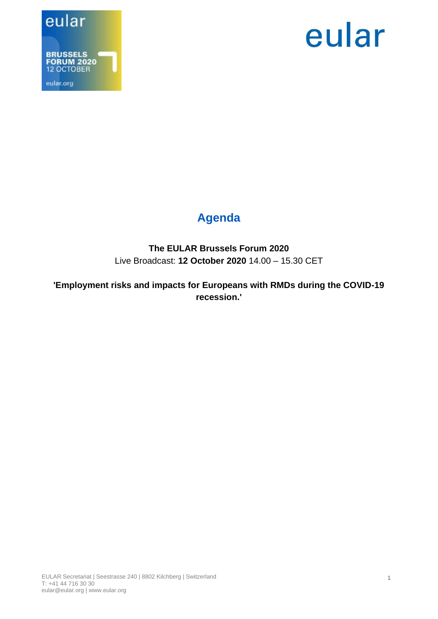



## **Agenda**

#### **The EULAR Brussels Forum 2020** Live Broadcast: **12 October 2020** 14.00 – 15.30 CET

**'Employment risks and impacts for Europeans with RMDs during the COVID-19 recession.'**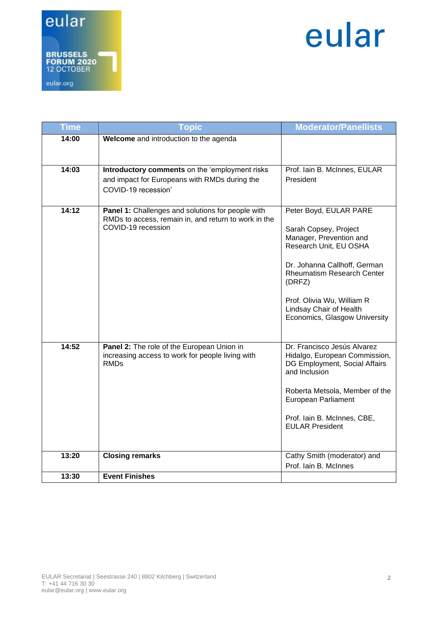

# eular

| <b>Time</b> | <b>Topic</b>                                                                                                                    | <b>Moderator/Panellists</b>                                                                                                                                                                                                                                                   |
|-------------|---------------------------------------------------------------------------------------------------------------------------------|-------------------------------------------------------------------------------------------------------------------------------------------------------------------------------------------------------------------------------------------------------------------------------|
| 14:00       | Welcome and introduction to the agenda                                                                                          |                                                                                                                                                                                                                                                                               |
|             |                                                                                                                                 |                                                                                                                                                                                                                                                                               |
| 14:03       | Introductory comments on the 'employment risks<br>and impact for Europeans with RMDs during the<br>COVID-19 recession'          | Prof. Iain B. McInnes, EULAR<br>President                                                                                                                                                                                                                                     |
| 14:12       | Panel 1: Challenges and solutions for people with<br>RMDs to access, remain in, and return to work in the<br>COVID-19 recession | Peter Boyd, EULAR PARE<br>Sarah Copsey, Project<br>Manager, Prevention and<br>Research Unit, EU OSHA<br>Dr. Johanna Callhoff, German<br><b>Rheumatism Research Center</b><br>(DRFZ)<br>Prof. Olivia Wu, William R<br>Lindsay Chair of Health<br>Economics, Glasgow University |
| 14:52       | Panel 2: The role of the European Union in<br>increasing access to work for people living with<br><b>RMDs</b>                   | Dr. Francisco Jesús Alvarez<br>Hidalgo, European Commission,<br>DG Employment, Social Affairs<br>and Inclusion<br>Roberta Metsola, Member of the<br>European Parliament<br>Prof. lain B. McInnes, CBE,<br><b>EULAR President</b>                                              |
| 13:20       | <b>Closing remarks</b>                                                                                                          | Cathy Smith (moderator) and<br>Prof. Iain B. McInnes                                                                                                                                                                                                                          |
| 13:30       | <b>Event Finishes</b>                                                                                                           |                                                                                                                                                                                                                                                                               |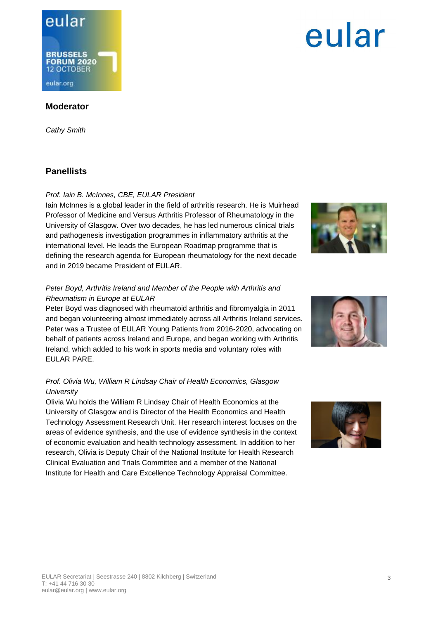### eular **BRUSSELS FORUM 2020** 12 OCTOBER eular.org

### **Moderator**

*Cathy Smith*

#### **Panellists**

#### *Prof. Iain B. McInnes, CBE, EULAR President*

Iain McInnes is a global leader in the field of arthritis research. He is Muirhead Professor of Medicine and Versus Arthritis Professor of Rheumatology in the University of Glasgow. Over two decades, he has led numerous clinical trials and pathogenesis investigation programmes in inflammatory arthritis at the international level. He leads the European Roadmap programme that is defining the research agenda for European rheumatology for the next decade and in 2019 became President of EULAR.

#### *Peter Boyd, Arthritis Ireland and Member of the People with Arthritis and Rheumatism in Europe at EULAR*

Peter Boyd was diagnosed with rheumatoid arthritis and fibromyalgia in 2011 and began volunteering almost immediately across all Arthritis Ireland services. Peter was a Trustee of EULAR Young Patients from 2016-2020, advocating on behalf of patients across Ireland and Europe, and began working with Arthritis Ireland, which added to his work in sports media and voluntary roles with EULAR PARE.

#### *Prof. Olivia Wu, William R Lindsay Chair of Health Economics, Glasgow University*

Olivia Wu holds the William R Lindsay Chair of Health Economics at the University of Glasgow and is Director of the Health Economics and Health Technology Assessment Research Unit. Her research interest focuses on the areas of evidence synthesis, and the use of evidence synthesis in the context of economic evaluation and health technology assessment. In addition to her research, Olivia is Deputy Chair of the National Institute for Health Research Clinical Evaluation and Trials Committee and a member of the National Institute for Health and Care Excellence Technology Appraisal Committee.

# EULAR Secretariat | Seestrasse 240 | 8802 Kilchberg | Switzerland

T: +41 44 716 30 30 eular@eular.org | www.eular.org









eular